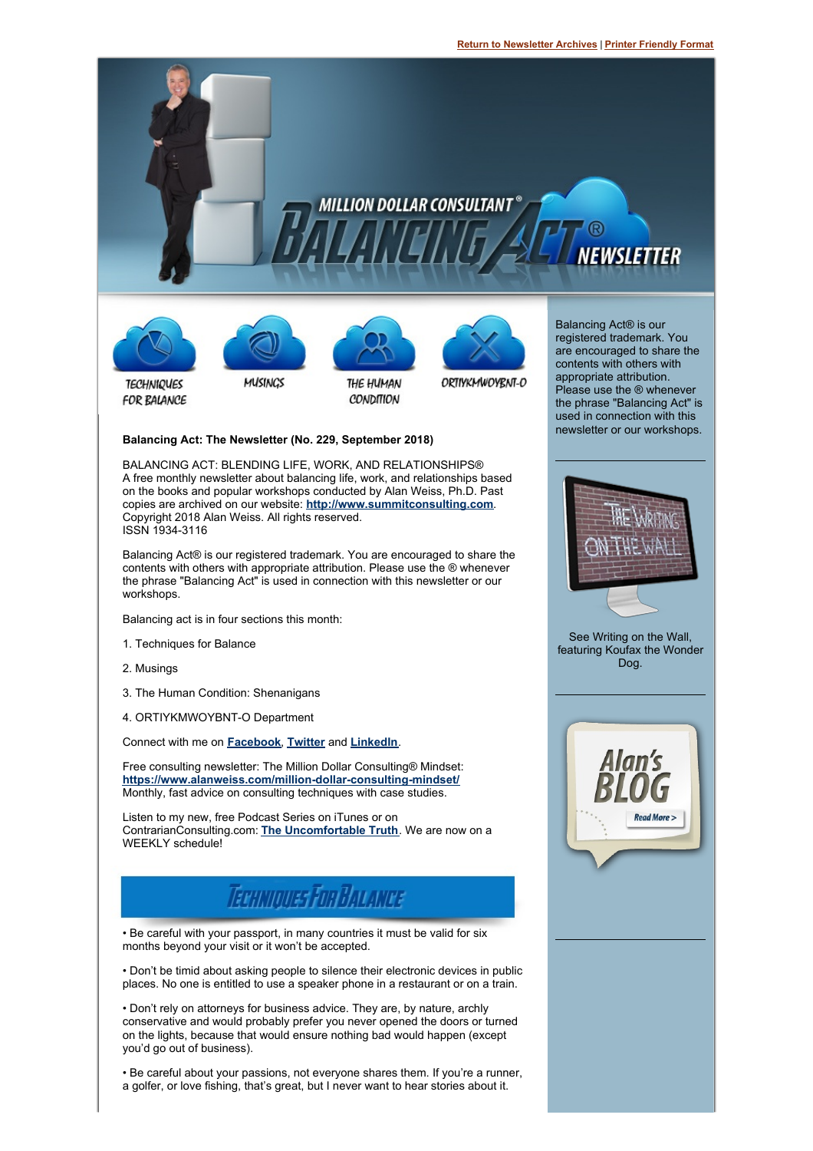

#### **Balancing Act: The Newsletter (No. 229, September 2018)**

BALANCING ACT: BLENDING LIFE, WORK, AND RELATIONSHIPS® A free monthly newsletter about balancing life, work, and relationships based on the books and popular workshops conducted by Alan Weiss, Ph.D. Past copies are archived on our website: **<http://www.summitconsulting.com>**. Copyright 2018 Alan Weiss. All rights reserved. ISSN 1934-3116

Balancing Act® is our registered trademark. You are encouraged to share the contents with others with appropriate attribution. Please use the ® whenever the phrase "Balancing Act" is used in connection with this newsletter or our workshops.

Balancing act is in four sections this month:

- 1. Techniques for Balance
- 2. Musings
- 3. The Human Condition: Shenanigans
- 4. ORTIYKMWOYBNT-O Department

Connect with me on **[Facebook](https://www.facebook.com/MillionDollarConsulting)**, **[Twitter](https://twitter.com/BentleyGTCSpeed)** and **[LinkedIn](https://www.linkedin.com/in/alanweissphd/)**.

Free consulting newsletter: The Million Dollar Consulting® Mindset: **<https://www.alanweiss.com/million-dollar-consulting-mindset/>** Monthly, fast advice on consulting techniques with case studies.

Listen to my new, free Podcast Series on iTunes or on ContrarianConsulting.com: **The [Uncomfortable](http://www.contrarianconsulting.com/uncomfortable-truth/) Truth**. We are now on a WEEKLY schedule!



• Be careful with your passport, in many countries it must be valid for six months beyond your visit or it won't be accepted.

• Don't be timid about asking people to silence their electronic devices in public places. No one is entitled to use a speaker phone in a restaurant or on a train.

• Don't rely on attorneys for business advice. They are, by nature, archly conservative and would probably prefer you never opened the doors or turned on the lights, because that would ensure nothing bad would happen (except you'd go out of business).

• Be careful about your passions, not everyone shares them. If you're a runner, a golfer, or love fishing, that's great, but I never want to hear stories about it.





See Writing on the Wall, featuring Koufax the Wonder Dog.

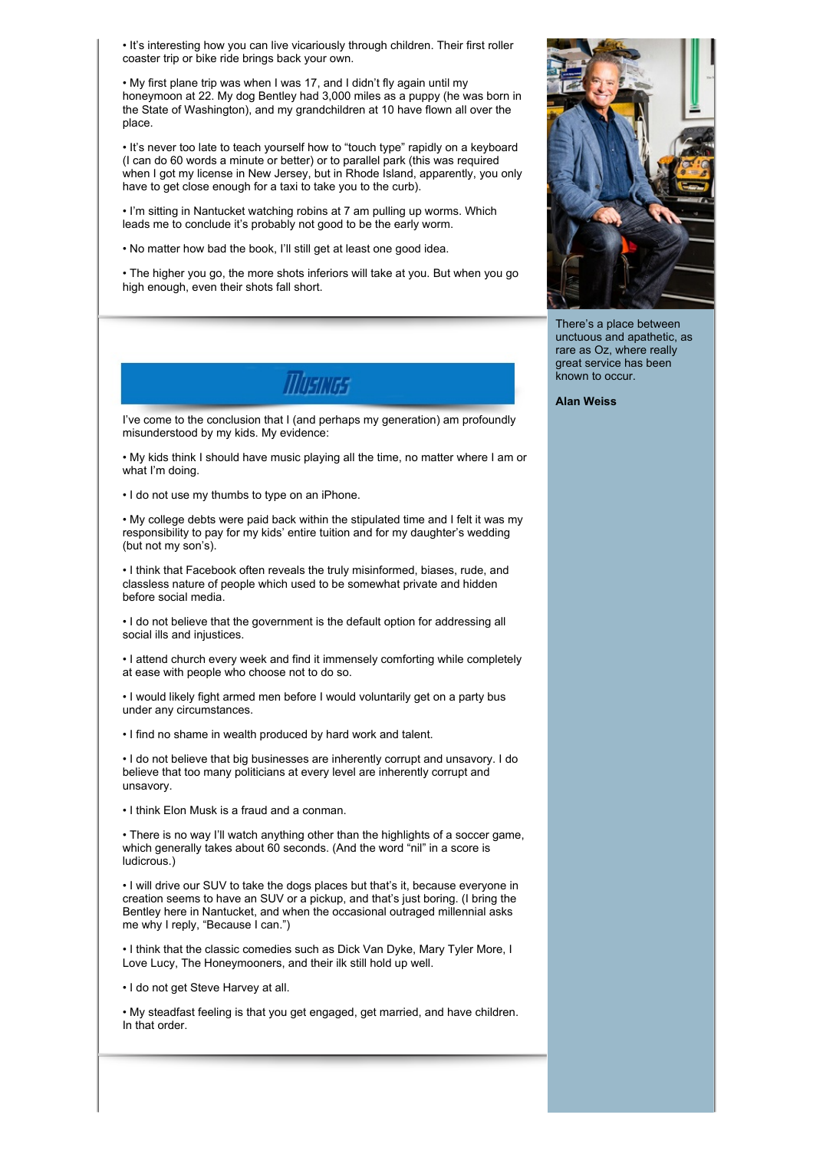• It's interesting how you can live vicariously through children. Their first roller coaster trip or bike ride brings back your own.

• My first plane trip was when I was 17, and I didn't fly again until my honeymoon at 22. My dog Bentley had 3,000 miles as a puppy (he was born in the State of Washington), and my grandchildren at 10 have flown all over the place.

• It's never too late to teach yourself how to "touch type" rapidly on a keyboard (I can do 60 words a minute or better) or to parallel park (this was required when I got my license in New Jersey, but in Rhode Island, apparently, you only have to get close enough for a taxi to take you to the curb).

• I'm sitting in Nantucket watching robins at 7 am pulling up worms. Which leads me to conclude it's probably not good to be the early worm.

• No matter how bad the book, I'll still get at least one good idea.

• The higher you go, the more shots inferiors will take at you. But when you go high enough, even their shots fall short.



I've come to the conclusion that I (and perhaps my generation) am profoundly misunderstood by my kids. My evidence:

• My kids think I should have music playing all the time, no matter where I am or what I'm doing.

• I do not use my thumbs to type on an iPhone.

• My college debts were paid back within the stipulated time and I felt it was my responsibility to pay for my kids' entire tuition and for my daughter's wedding (but not my son's).

• I think that Facebook often reveals the truly misinformed, biases, rude, and classless nature of people which used to be somewhat private and hidden before social media.

• I do not believe that the government is the default option for addressing all social ills and injustices.

• I attend church every week and find it immensely comforting while completely at ease with people who choose not to do so.

• I would likely fight armed men before I would voluntarily get on a party bus under any circumstances.

• I find no shame in wealth produced by hard work and talent.

• I do not believe that big businesses are inherently corrupt and unsavory. I do believe that too many politicians at every level are inherently corrupt and unsavory.

• I think Elon Musk is a fraud and a conman.

• There is no way I'll watch anything other than the highlights of a soccer game, which generally takes about 60 seconds. (And the word "nil" in a score is ludicrous.)

• I will drive our SUV to take the dogs places but that's it, because everyone in creation seems to have an SUV or a pickup, and that's just boring. (I bring the Bentley here in Nantucket, and when the occasional outraged millennial asks me why I reply, "Because I can.")

• I think that the classic comedies such as Dick Van Dyke, Mary Tyler More, I Love Lucy, The Honeymooners, and their ilk still hold up well.

• I do not get Steve Harvey at all.

• My steadfast feeling is that you get engaged, get married, and have children. In that order.



There's a place between unctuous and apathetic, as rare as Oz, where really great service has been known to occur.

**Alan Weiss**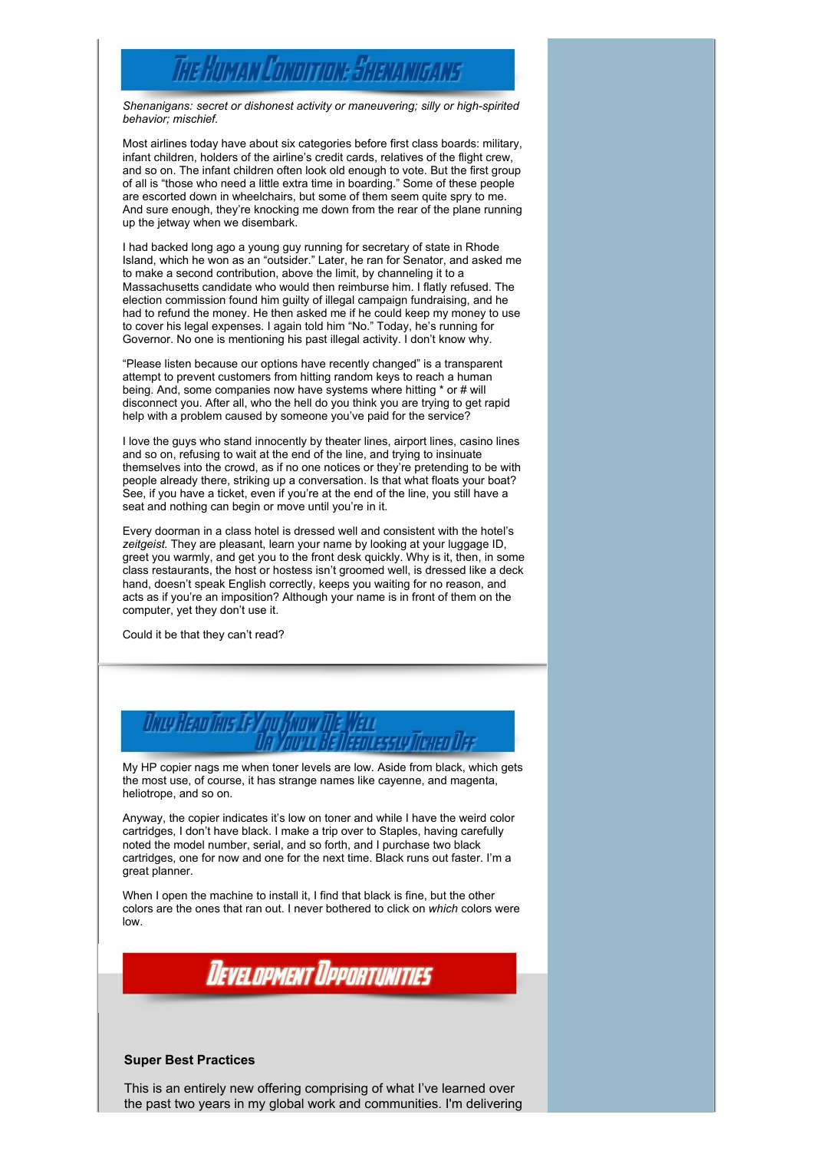# The Human Conoition: Shenanigans

*Shenanigans: secret or dishonest activity or maneuvering; silly or high-spirited behavior; mischief.*

Most airlines today have about six categories before first class boards: military, infant children, holders of the airline's credit cards, relatives of the flight crew, and so on. The infant children often look old enough to vote. But the first group of all is "those who need a little extra time in boarding." Some of these people are escorted down in wheelchairs, but some of them seem quite spry to me. And sure enough, they're knocking me down from the rear of the plane running up the jetway when we disembark.

I had backed long ago a young guy running for secretary of state in Rhode Island, which he won as an "outsider." Later, he ran for Senator, and asked me to make a second contribution, above the limit, by channeling it to a Massachusetts candidate who would then reimburse him. I flatly refused. The election commission found him guilty of illegal campaign fundraising, and he had to refund the money. He then asked me if he could keep my money to use to cover his legal expenses. I again told him "No." Today, he's running for Governor. No one is mentioning his past illegal activity. I don't know why.

"Please listen because our options have recently changed" is a transparent attempt to prevent customers from hitting random keys to reach a human being. And, some companies now have systems where hitting \* or # will disconnect you. After all, who the hell do you think you are trying to get rapid help with a problem caused by someone you've paid for the service?

I love the guys who stand innocently by theater lines, airport lines, casino lines and so on, refusing to wait at the end of the line, and trying to insinuate themselves into the crowd, as if no one notices or they're pretending to be with people already there, striking up a conversation. Is that what floats your boat? See, if you have a ticket, even if you're at the end of the line, you still have a seat and nothing can begin or move until you're in it.

Every doorman in a class hotel is dressed well and consistent with the hotel's *zeitgeist.* They are pleasant, learn your name by looking at your luggage ID, greet you warmly, and get you to the front desk quickly. Why is it, then, in some class restaurants, the host or hostess isn't groomed well, is dressed like a deck hand, doesn't speak English correctly, keeps you waiting for no reason, and acts as if you're an imposition? Although your name is in front of them on the computer, yet they don't use it.

Could it be that they can't read?



My HP copier nags me when toner levels are low. Aside from black, which gets the most use, of course, it has strange names like cayenne, and magenta, heliotrope, and so on.

Anyway, the copier indicates it's low on toner and while I have the weird color cartridges, I don't have black. I make a trip over to Staples, having carefully noted the model number, serial, and so forth, and I purchase two black cartridges, one for now and one for the next time. Black runs out faster. I'm a great planner.

When I open the machine to install it, I find that black is fine, but the other colors are the ones that ran out. I never bothered to click on *which* colors were low.



#### **Super Best Practices**

This is an entirely new offering comprising of what I've learned over the past two years in my global work and communities. I'm delivering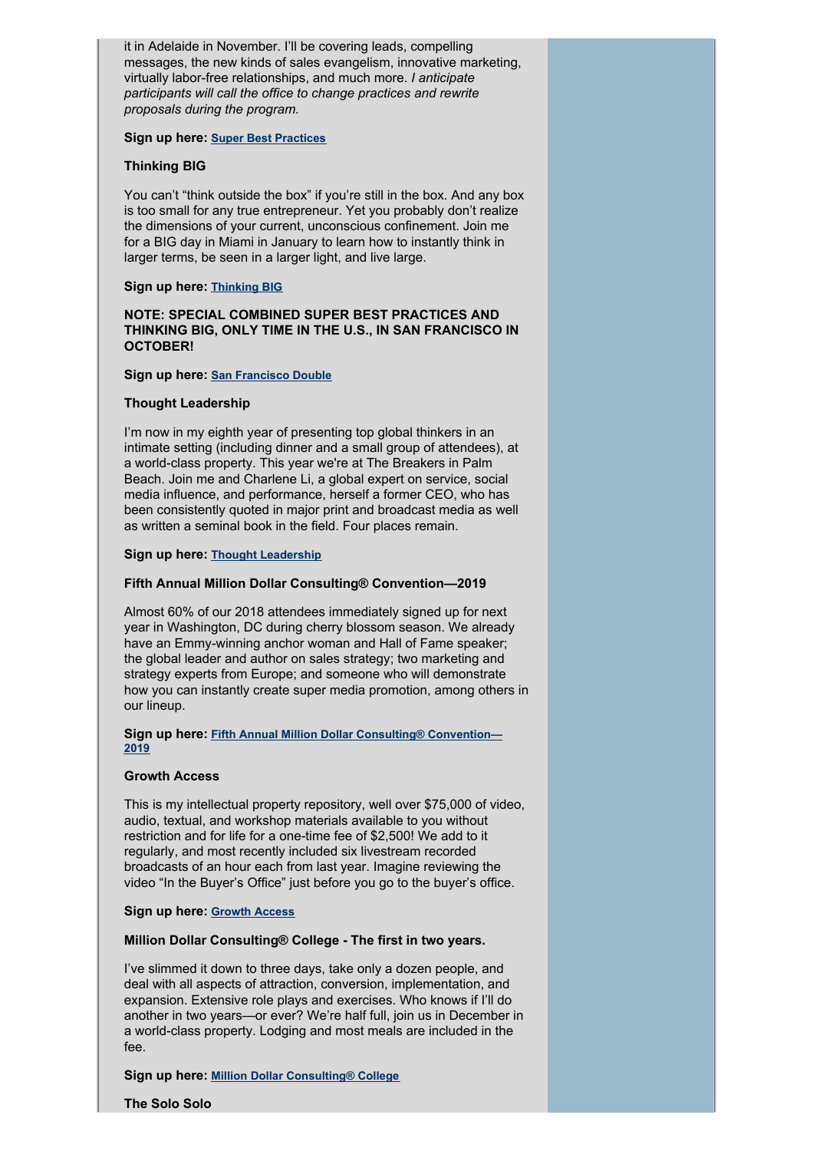it in Adelaide in November. I'll be covering leads, compelling messages, the new kinds of sales evangelism, innovative marketing, virtually labor-free relationships, and much more. *I anticipate participants will call the office to change practices and rewrite proposals during the program.*

#### **Sign up here: Super Best [Practices](https://www.alanweiss.com/growth-experiences/super-best-practices-experience/)**

# **Thinking BIG**

You can't "think outside the box" if you're still in the box. And any box is too small for any true entrepreneur. Yet you probably don't realize the dimensions of your current, unconscious confinement. Join me for a BIG day in Miami in January to learn how to instantly think in larger terms, be seen in a larger light, and live large.

### **Sign up here: [Thinking](https://www.alanweiss.com/growth-experiences/thinking-big/) BIG**

# **NOTE: SPECIAL COMBINED SUPER BEST PRACTICES AND THINKING BIG, ONLY TIME IN THE U.S., IN SAN FRANCISCO IN OCTOBER!**

### **Sign up here: San [Francisco](https://www.alanweiss.com/growth-experiences/san-francisco-double/) Double**

### **Thought Leadership**

I'm now in my eighth year of presenting top global thinkers in an intimate setting (including dinner and a small group of attendees), at a world-class property. This year we're at The Breakers in Palm Beach. Join me and Charlene Li, a global expert on service, social media influence, and performance, herself a former CEO, who has been consistently quoted in major print and broadcast media as well as written a seminal book in the field. Four places remain.

### **Sign up here: Thought [Leadership](https://www.alanweiss.com/growth-experiences/2018-thought-leadership-ninth-annual-conference/)**

# **Fifth Annual Million Dollar Consulting® Convention—2019**

Almost 60% of our 2018 attendees immediately signed up for next year in Washington, DC during cherry blossom season. We already have an Emmy-winning anchor woman and Hall of Fame speaker; the global leader and author on sales strategy; two marketing and strategy experts from Europe; and someone who will demonstrate how you can instantly create super media promotion, among others in our lineup.

#### **Sign up here: Fifth Annual Million Dollar Consulting® [Convention—](https://www.alanweiss.com/growth-experiences/mdcc2019/) 2019**

#### **Growth Access**

This is my intellectual property repository, well over \$75,000 of video, audio, textual, and workshop materials available to you without restriction and for life for a one-time fee of \$2,500! We add to it regularly, and most recently included six livestream recorded broadcasts of an hour each from last year. Imagine reviewing the video "In the Buyer's Office" just before you go to the buyer's office.

#### **Sign up here: [Growth](https://www.alanweiss.com/store/online-learning/alans-million-dollar-consulting-growth-access/) Access**

# **Million Dollar Consulting® College - The first in two years.**

I've slimmed it down to three days, take only a dozen people, and deal with all aspects of attraction, conversion, implementation, and expansion. Extensive role plays and exercises. Who knows if I'll do another in two years—or ever? We're half full, join us in December in a world-class property. Lodging and most meals are included in the fee.

# **Sign up here: Million Dollar [Consulting®](https://www.alanweiss.com/growth-experiences/newmdcc2018/) College**

**The Solo Solo**